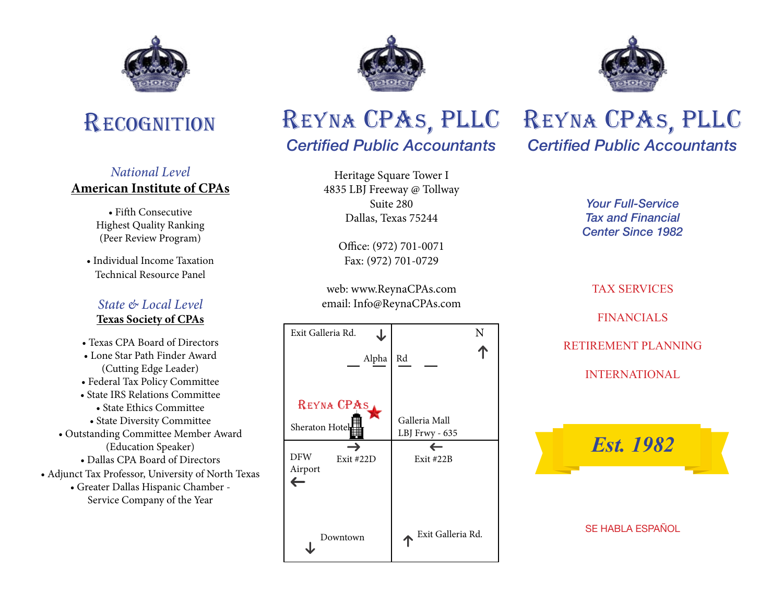



### *National Level* **American Institute of CPAs**

• Fifth Consecutive Highest Quality Ranking (Peer Review Program)

• Individual Income Taxation Technical Resource Panel

### *State & Local Level* **Texas Society of CPAs**

- Texas CPA Board of Directors
- Lone Star Path Finder Award (Cutting Edge Leader)
- Federal Tax Policy Committee
- State IRS Relations Committee • State Ethics Committee
- State Diversity Committee
- Outstanding Committee Member Award (Education Speaker)
	- Dallas CPA Board of Directors
- Adjunct Tax Professor, University of North Texas
	- Greater Dallas Hispanic Chamber Service Company of the Year





# *Certified Public Accountants*

Heritage Square Tower I 4835 LBJ Freeway @ Tollway Suite 280 Dallas, Texas 75244

> Office: (972) 701-0071 Fax: (972) 701-0729

web: www.ReynaCPAs.com email: Info@ReynaCPAs.com



# *Certified Public Accountants* REYNA CPAS, PLLC

*Your Full-Service Tax and Financial Center Since 1982*

## TAX SERVICES

### **FINANCIALS**

### RETIREMENT PLANNING

#### INTERNATIONAL



#### SE HABLA ESPAÑOL